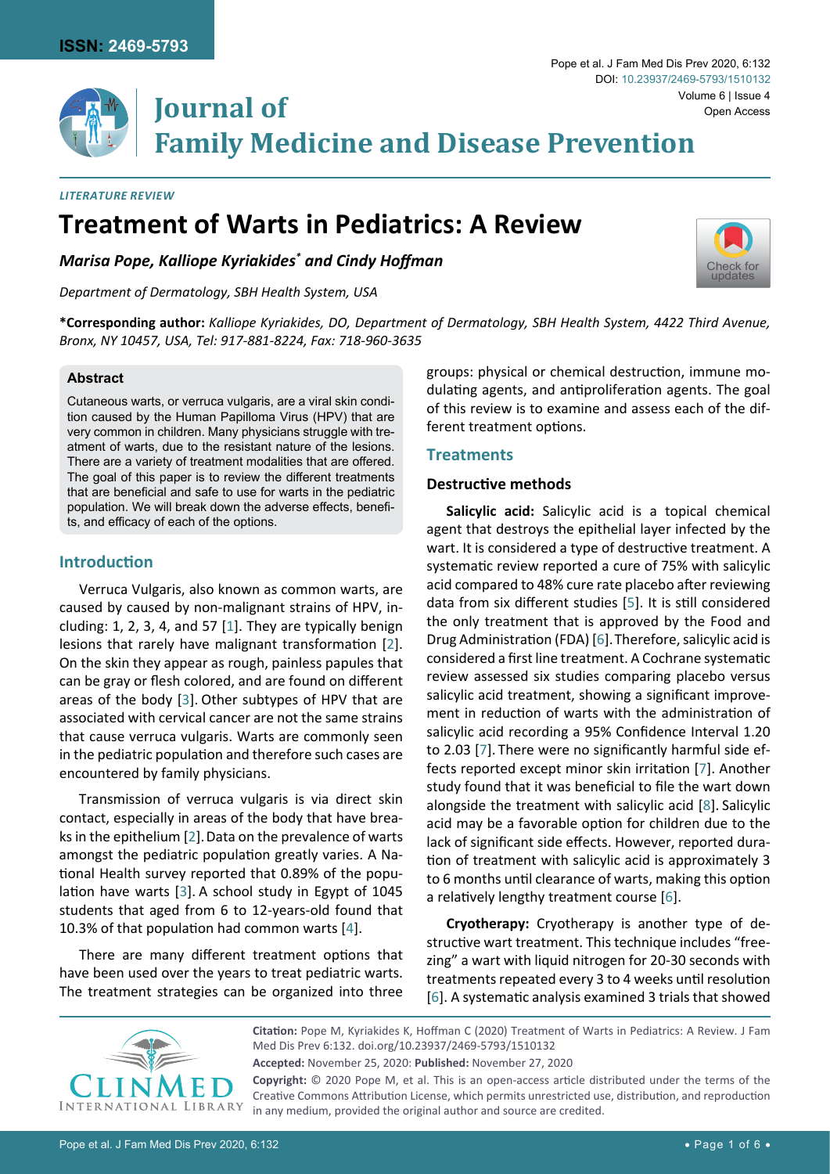

# **Volume 6 | Issue 4**<br>**IOUTNAl Of** Chen Access **Family Medicine and Disease Prevention**

#### *Literature Review*

# **Treatment of Warts in Pediatrics: A Review**

*Marisa Pope, Kalliope Kyriakides\* and Cindy Hoffman*

*Department of Dermatology, SBH Health System, USA*



**\*Corresponding author:** *Kalliope Kyriakides, DO, Department of Dermatology, SBH Health System, 4422 Third Avenue, Bronx, NY 10457, USA, Tel: 917-881-8224, Fax: 718-960-3635*

#### **Abstract**

Cutaneous warts, or verruca vulgaris, are a viral skin condition caused by the Human Papilloma Virus (HPV) that are very common in children. Many physicians struggle with treatment of warts, due to the resistant nature of the lesions. There are a variety of treatment modalities that are offered. The goal of this paper is to review the different treatments that are beneficial and safe to use for warts in the pediatric population. We will break down the adverse effects, benefits, and efficacy of each of the options.

# **Introduction**

Verruca Vulgaris, also known as common warts, are caused by caused by non-malignant strains of HPV, including: 1, 2, 3, 4, and 57 [\[1\]](#page-4-4). They are typically benign lesions that rarely have malignant transformation [\[2\]](#page-4-5). On the skin they appear as rough, painless papules that can be gray or flesh colored, and are found on different areas of the body [[3](#page-4-6)]. Other subtypes of HPV that are associated with cervical cancer are not the same strains that cause verruca vulgaris. Warts are commonly seen in the pediatric population and therefore such cases are encountered by family physicians.

Transmission of verruca vulgaris is via direct skin contact, especially in areas of the body that have brea-ks in the epithelium [\[2\]](#page-4-5). Data on the prevalence of warts amongst the pediatric population greatly varies. A National Health survey reported that 0.89% of the population have warts [[3](#page-4-6)]. A school study in Egypt of 1045 students that aged from 6 to 12-years-old found that 10.3% of that population had common warts [\[4\]](#page-4-7).

There are many different treatment options that have been used over the years to treat pediatric warts. The treatment strategies can be organized into three groups: physical or chemical destruction, immune modulating agents, and antiproliferation agents. The goal of this review is to examine and assess each of the different treatment options.

# **Treatments**

## **Destructive methods**

**Salicylic acid:** Salicylic acid is a topical chemical agent that destroys the epithelial layer infected by the wart. It is considered a type of destructive treatment. A systematic review reported a cure of 75% with salicylic acid compared to 48% cure rate placebo after reviewing data from six different studies [[5](#page-4-0)]. It is still considered the only treatment that is approved by the Food and Drug Administration (FDA) [\[6\]](#page-4-1).Therefore, salicylic acid is considered a first line treatment. A Cochrane systematic review assessed six studies comparing placebo versus salicylic acid treatment, showing a significant improvement in reduction of warts with the administration of salicylic acid recording a 95% Confidence Interval 1.20 to 2.03 [\[7\]](#page-4-2). There were no significantly harmful side effects reported except minor skin irritation [\[7](#page-4-2)]. Another study found that it was beneficial to file the wart down alongside the treatment with salicylic acid [\[8\]](#page-4-3). Salicylic acid may be a favorable option for children due to the lack of significant side effects. However, reported duration of treatment with salicylic acid is approximately 3 to 6 months until clearance of warts, making this option a relatively lengthy treatment course [\[6\]](#page-4-1).

**Cryotherapy:** Cryotherapy is another type of destructive wart treatment. This technique includes "freezing" a wart with liquid nitrogen for 20-30 seconds with treatments repeated every 3 to 4 weeks until resolution [[6](#page-4-1)]. A systematic analysis examined 3 trials that showed



**Citation:** Pope M, Kyriakides K, Hoffman C (2020) Treatment of Warts in Pediatrics: A Review. J Fam Med Dis Prev 6:132. [doi.org/10.23937/2469-5793/1510132](https://doi.org/10.23937/2469-5793/1510132) **Accepted:** November 25, 2020: **Published:** November 27, 2020 **Copyright:** © 2020 Pope M, et al. This is an open-access article distributed under the terms of the Creative Commons Attribution License, which permits unrestricted use, distribution, and reproduction in any medium, provided the original author and source are credited.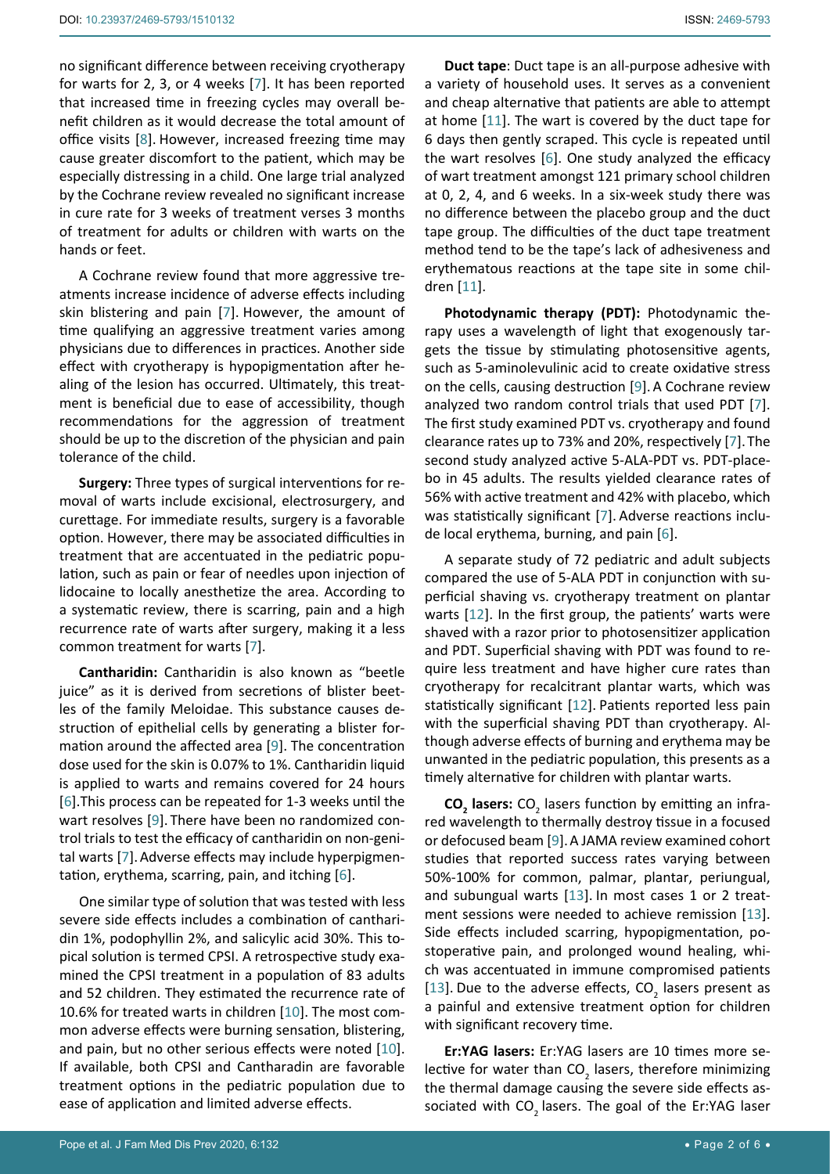no significant difference between receiving cryotherapy for warts for 2, 3, or 4 weeks [\[7\]](#page-4-2). It has been reported that increased time in freezing cycles may overall benefit children as it would decrease the total amount of office visits [\[8\]](#page-4-3). However, increased freezing time may cause greater discomfort to the patient, which may be especially distressing in a child. One large trial analyzed by the Cochrane review revealed no significant increase in cure rate for 3 weeks of treatment verses 3 months of treatment for adults or children with warts on the hands or feet.

A Cochrane review found that more aggressive treatments increase incidence of adverse effects including skin blistering and pain [[7](#page-4-2)]. However, the amount of time qualifying an aggressive treatment varies among physicians due to differences in practices. Another side effect with cryotherapy is hypopigmentation after healing of the lesion has occurred. Ultimately, this treatment is beneficial due to ease of accessibility, though recommendations for the aggression of treatment should be up to the discretion of the physician and pain tolerance of the child.

**Surgery:** Three types of surgical interventions for removal of warts include excisional, electrosurgery, and curettage. For immediate results, surgery is a favorable option. However, there may be associated difficulties in treatment that are accentuated in the pediatric population, such as pain or fear of needles upon injection of lidocaine to locally anesthetize the area. According to a systematic review, there is scarring, pain and a high recurrence rate of warts after surgery, making it a less common treatment for warts [\[7\]](#page-4-2).

**Cantharidin:** Cantharidin is also known as "beetle juice" as it is derived from secretions of blister beetles of the family Meloidae. This substance causes destruction of epithelial cells by generating a blister formation around the affected area [\[9\]](#page-4-8). The concentration dose used for the skin is 0.07% to 1%. Cantharidin liquid is applied to warts and remains covered for 24 hours [[6](#page-4-1)].This process can be repeated for 1-3 weeks until the wart resolves [[9](#page-4-8)]. There have been no randomized control trials to test the efficacy of cantharidin on non-genital warts [\[7\]](#page-4-2).Adverse effects may include hyperpigmentation, erythema, scarring, pain, and itching [\[6\]](#page-4-1).

One similar type of solution that was tested with less severe side effects includes a combination of cantharidin 1%, podophyllin 2%, and salicylic acid 30%. This topical solution is termed CPSI. A retrospective study examined the CPSI treatment in a population of 83 adults and 52 children. They estimated the recurrence rate of 10.6% for treated warts in children [[10](#page-4-9)]. The most common adverse effects were burning sensation, blistering, and pain, but no other serious effects were noted [\[10](#page-4-9)]. If available, both CPSI and Cantharadin are favorable treatment options in the pediatric population due to ease of application and limited adverse effects.

**Duct tape**: Duct tape is an all-purpose adhesive with a variety of household uses. It serves as a convenient and cheap alternative that patients are able to attempt at home [\[11](#page-4-10)]. The wart is covered by the duct tape for 6 days then gently scraped. This cycle is repeated until the wart resolves [\[6\]](#page-4-1). One study analyzed the efficacy of wart treatment amongst 121 primary school children at 0, 2, 4, and 6 weeks. In a six-week study there was no difference between the placebo group and the duct tape group. The difficulties of the duct tape treatment method tend to be the tape's lack of adhesiveness and erythematous reactions at the tape site in some children [\[11\]](#page-4-10).

**Photodynamic therapy (PDT):** Photodynamic therapy uses a wavelength of light that exogenously targets the tissue by stimulating photosensitive agents, such as 5-aminolevulinic acid to create oxidative stress on the cells, causing destruction [\[9\]](#page-4-8).A Cochrane review analyzed two random control trials that used PDT [\[7\]](#page-4-2). The first study examined PDT vs. cryotherapy and found clearance rates up to 73% and 20%, respectively [\[7\]](#page-4-2).The second study analyzed active 5-ALA-PDT vs. PDT-placebo in 45 adults. The results yielded clearance rates of 56% with active treatment and 42% with placebo, which was statistically significant [[7](#page-4-2)]. Adverse reactions include local erythema, burning, and pain [[6](#page-4-1)].

A separate study of 72 pediatric and adult subjects compared the use of 5-ALA PDT in conjunction with superficial shaving vs. cryotherapy treatment on plantar warts [\[12\]](#page-4-11). In the first group, the patients' warts were shaved with a razor prior to photosensitizer application and PDT. Superficial shaving with PDT was found to require less treatment and have higher cure rates than cryotherapy for recalcitrant plantar warts, which was statistically significant [[12\]](#page-4-11). Patients reported less pain with the superficial shaving PDT than cryotherapy. Although adverse effects of burning and erythema may be unwanted in the pediatric population, this presents as a timely alternative for children with plantar warts.

**CO<sub>2</sub>** lasers: CO<sub>2</sub> lasers function by emitting an infrared wavelength to thermally destroy tissue in a focused or defocused beam [[9](#page-4-8)].A JAMA review examined cohort studies that reported success rates varying between 50%-100% for common, palmar, plantar, periungual, and subungual warts [\[13](#page-4-12)]. In most cases 1 or 2 treatment sessions were needed to achieve remission [\[13\]](#page-4-12). Side effects included scarring, hypopigmentation, postoperative pain, and prolonged wound healing, which was accentuated in immune compromised patients [\[13](#page-4-12)]. Due to the adverse effects,  $CO_2$  lasers present as a painful and extensive treatment option for children with significant recovery time.

**Er:YAG lasers:** Er:YAG lasers are 10 times more selective for water than  $CO<sub>2</sub>$  lasers, therefore minimizing the thermal damage causing the severe side effects associated with CO<sub>2</sub> lasers. The goal of the Er:YAG laser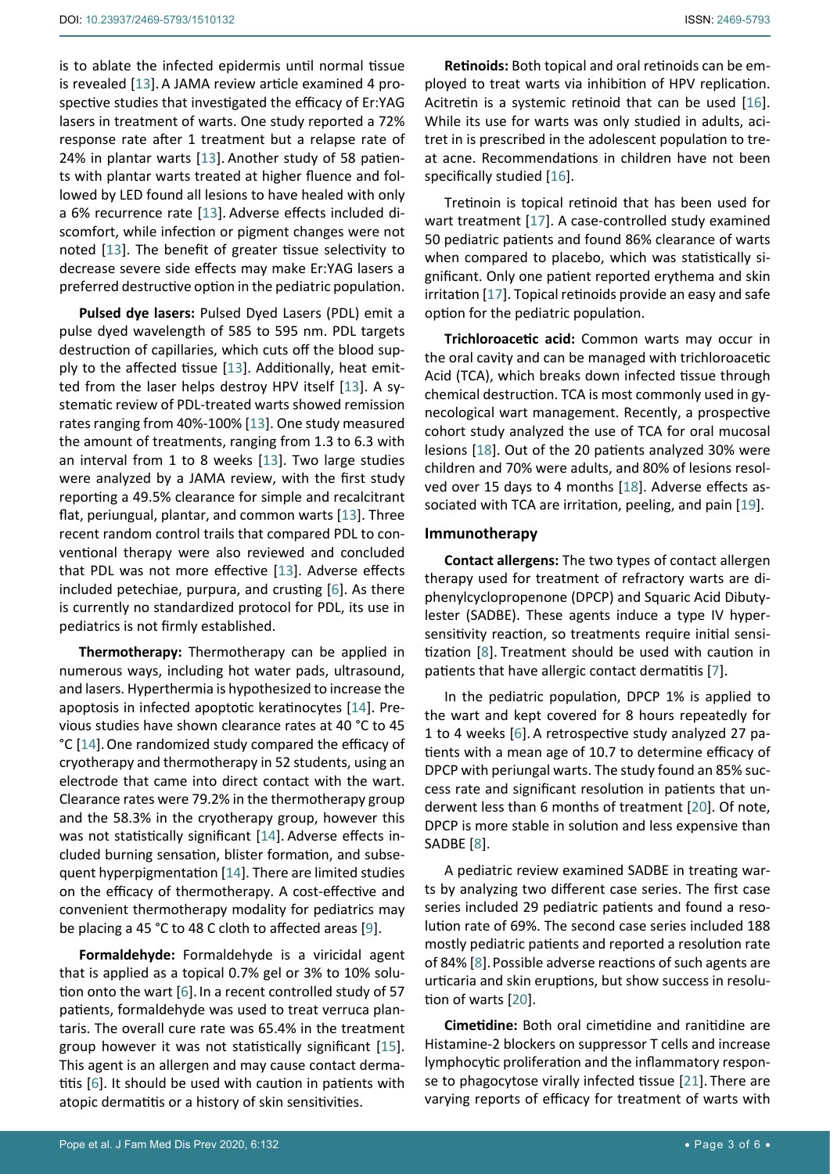is to ablate the infected epidermis until normal tissue is revealed [[13](#page-4-12)]. A JAMA review article examined 4 prospective studies that investigated the efficacy of Er:YAG lasers in treatment of warts. One study reported a 72% response rate after 1 treatment but a relapse rate of 24% in plantar warts [\[13](#page-4-12)]. Another study of 58 patients with plantar warts treated at higher fluence and followed by LED found all lesions to have healed with only a 6% recurrence rate [\[13](#page-4-12)]. Adverse effects included discomfort, while infection or pigment changes were not noted [\[13](#page-4-12)]. The benefit of greater tissue selectivity to decrease severe side effects may make Er:YAG lasers a preferred destructive option in the pediatric population.

**Pulsed dye lasers:** Pulsed Dyed Lasers (PDL) emit a pulse dyed wavelength of 585 to 595 nm. PDL targets destruction of capillaries, which cuts off the blood supply to the affected tissue [\[13](#page-4-12)]. Additionally, heat emitted from the laser helps destroy HPV itself [[13\]](#page-4-12). A systematic review of PDL-treated warts showed remission rates ranging from 40%-100% [\[13](#page-4-12)]. One study measured the amount of treatments, ranging from 1.3 to 6.3 with an interval from 1 to 8 weeks [[13\]](#page-4-12). Two large studies were analyzed by a JAMA review, with the first study reporting a 49.5% clearance for simple and recalcitrant flat, periungual, plantar, and common warts [[13](#page-4-12)]. Three recent random control trails that compared PDL to conventional therapy were also reviewed and concluded that PDL was not more effective [\[13\]](#page-4-12). Adverse effects included petechiae, purpura, and crusting [[6](#page-4-1)]. As there is currently no standardized protocol for PDL, its use in pediatrics is not firmly established.

**Thermotherapy:** Thermotherapy can be applied in numerous ways, including hot water pads, ultrasound, and lasers. Hyperthermia is hypothesized to increase the apoptosis in infected apoptotic keratinocytes [[14\]](#page-4-19). Previous studies have shown clearance rates at 40 °C to 45 °C [[14](#page-4-19)].One randomized study compared the efficacy of cryotherapy and thermotherapy in 52 students, using an electrode that came into direct contact with the wart. Clearance rates were 79.2% in the thermotherapy group and the 58.3% in the cryotherapy group, however this was not statistically significant [[14](#page-4-19)]. Adverse effects included burning sensation, blister formation, and subsequent hyperpigmentation [[14](#page-4-19)]. There are limited studies on the efficacy of thermotherapy. A cost-effective and convenient thermotherapy modality for pediatrics may be placing a 45 °C to 48 C cloth to affected areas [\[9\]](#page-4-8).

**Formaldehyde:** Formaldehyde is a viricidal agent that is applied as a topical 0.7% gel or 3% to 10% solu-tion onto the wart [[6](#page-4-1)]. In a recent controlled study of 57 patients, formaldehyde was used to treat verruca plantaris. The overall cure rate was 65.4% in the treatment group however it was not statistically significant [\[15](#page-4-20)]. This agent is an allergen and may cause contact dermatitis [\[6\]](#page-4-1). It should be used with caution in patients with atopic dermatitis or a history of skin sensitivities.

**Retinoids:** Both topical and oral retinoids can be employed to treat warts via inhibition of HPV replication. Acitretin is a systemic retinoid that can be used [\[16\]](#page-4-13). While its use for warts was only studied in adults, acitret in is prescribed in the adolescent population to treat acne. Recommendations in children have not been specifically studied [[16](#page-4-13)].

Tretinoin is topical retinoid that has been used for wart treatment [\[17](#page-4-14)]. A case-controlled study examined 50 pediatric patients and found 86% clearance of warts when compared to placebo, which was statistically significant. Only one patient reported erythema and skin irritation [\[17\]](#page-4-14). Topical retinoids provide an easy and safe option for the pediatric population.

**Trichloroacetic acid:** Common warts may occur in the oral cavity and can be managed with trichloroacetic Acid (TCA), which breaks down infected tissue through chemical destruction. TCA is most commonly used in gynecological wart management. Recently, a prospective cohort study analyzed the use of TCA for oral mucosal lesions [[18\]](#page-4-15). Out of the 20 patients analyzed 30% were children and 70% were adults, and 80% of lesions resolved over 15 days to 4 months [[18](#page-4-15)]. Adverse effects associated with TCA are irritation, peeling, and pain [\[19](#page-4-16)].

#### **Immunotherapy**

**Contact allergens:** The two types of contact allergen therapy used for treatment of refractory warts are diphenylcyclopropenone (DPCP) and Squaric Acid Dibutylester (SADBE). These agents induce a type IV hypersensitivity reaction, so treatments require initial sensitization [\[8\]](#page-4-3). Treatment should be used with caution in patients that have allergic contact dermatitis [[7](#page-4-2)].

In the pediatric population, DPCP 1% is applied to the wart and kept covered for 8 hours repeatedly for 1 to 4 weeks [[6](#page-4-1)]. A retrospective study analyzed 27 patients with a mean age of 10.7 to determine efficacy of DPCP with periungal warts. The study found an 85% success rate and significant resolution in patients that underwent less than 6 months of treatment [\[20](#page-4-17)]. Of note, DPCP is more stable in solution and less expensive than SADBE [\[8\]](#page-4-3).

A pediatric review examined SADBE in treating warts by analyzing two different case series. The first case series included 29 pediatric patients and found a resolution rate of 69%. The second case series included 188 mostly pediatric patients and reported a resolution rate of 84% [\[8](#page-4-3)].Possible adverse reactions of such agents are urticaria and skin eruptions, but show success in resolution of warts [\[20\]](#page-4-17).

**Cimetidine:** Both oral cimetidine and ranitidine are Histamine-2 blockers on suppressor T cells and increase lymphocytic proliferation and the inflammatory response to phagocytose virally infected tissue [\[21\]](#page-4-18). There are varying reports of efficacy for treatment of warts with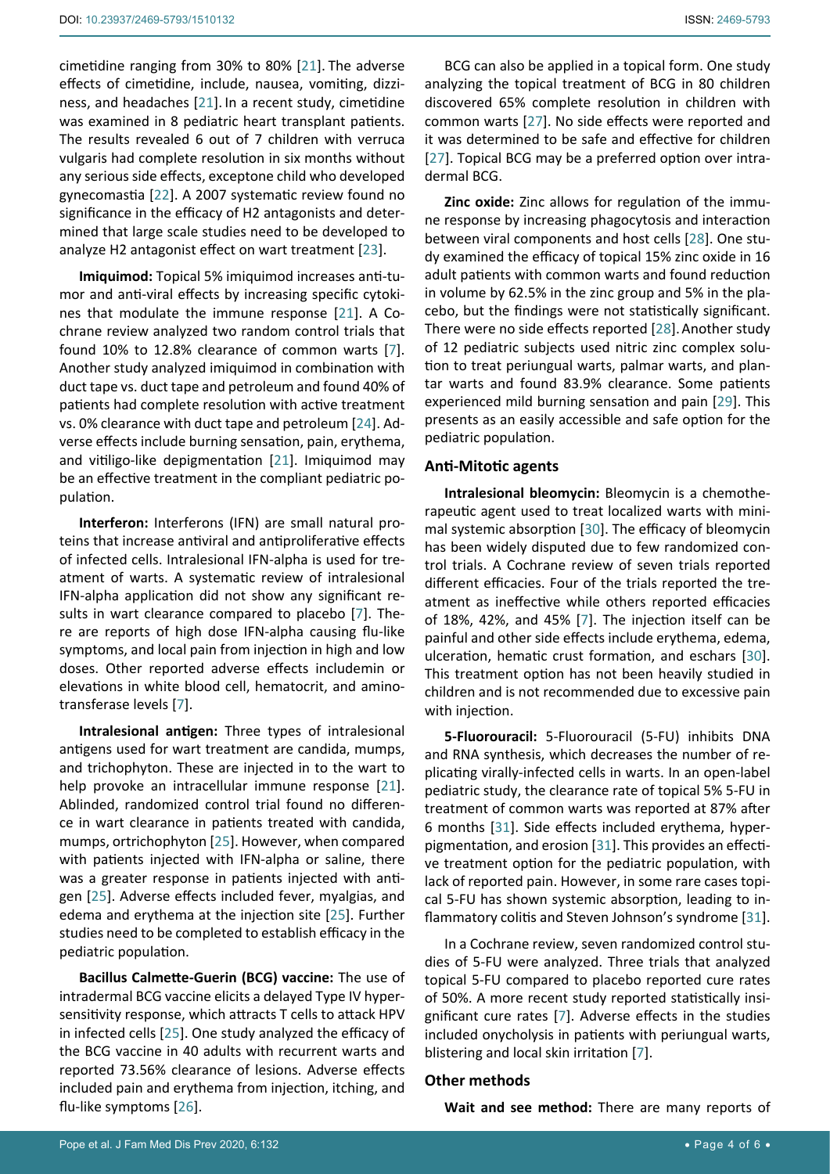cimetidine ranging from 30% to 80% [\[21](#page-4-18)]. The adverse effects of cimetidine, include, nausea, vomiting, dizziness, and headaches [\[21](#page-4-18)]. In a recent study, cimetidine was examined in 8 pediatric heart transplant patients. The results revealed 6 out of 7 children with verruca vulgaris had complete resolution in six months without any serious side effects, exceptone child who developed gynecomastia [[22\]](#page-4-25). A 2007 systematic review found no significance in the efficacy of H2 antagonists and determined that large scale studies need to be developed to analyze H2 antagonist effect on wart treatment [\[23](#page-4-26)].

**Imiquimod:** Topical 5% imiquimod increases anti-tumor and anti-viral effects by increasing specific cytokines that modulate the immune response [[21\]](#page-4-18). A Cochrane review analyzed two random control trials that found 10% to 12.8% clearance of common warts [[7](#page-4-2)]. Another study analyzed imiquimod in combination with duct tape vs. duct tape and petroleum and found 40% of patients had complete resolution with active treatment vs. 0% clearance with duct tape and petroleum [[24\]](#page-4-27). Adverse effects include burning sensation, pain, erythema, and vitiligo-like depigmentation [\[21\]](#page-4-18). Imiquimod may be an effective treatment in the compliant pediatric population.

**Interferon:** Interferons (IFN) are small natural proteins that increase antiviral and antiproliferative effects of infected cells. Intralesional IFN-alpha is used for treatment of warts. A systematic review of intralesional IFN-alpha application did not show any significant results in wart clearance compared to placebo [\[7\]](#page-4-2). There are reports of high dose IFN-alpha causing flu-like symptoms, and local pain from injection in high and low doses. Other reported adverse effects includemin or elevations in white blood cell, hematocrit, and aminotransferase levels [[7](#page-4-2)].

**Intralesional antigen:** Three types of intralesional antigens used for wart treatment are candida, mumps, and trichophyton. These are injected in to the wart to help provoke an intracellular immune response [\[21](#page-4-18)]. Ablinded, randomized control trial found no difference in wart clearance in patients treated with candida, mumps, ortrichophyton [[25](#page-4-28)]. However, when compared with patients injected with IFN-alpha or saline, there was a greater response in patients injected with antigen [\[25\]](#page-4-28). Adverse effects included fever, myalgias, and edema and erythema at the injection site [[25\]](#page-4-28). Further studies need to be completed to establish efficacy in the pediatric population.

**Bacillus Calmette-Guerin (BCG) vaccine:** The use of intradermal BCG vaccine elicits a delayed Type IV hypersensitivity response, which attracts T cells to attack HPV in infected cells [[25](#page-4-28)]. One study analyzed the efficacy of the BCG vaccine in 40 adults with recurrent warts and reported 73.56% clearance of lesions. Adverse effects included pain and erythema from injection, itching, and flu-like symptoms [[26\]](#page-4-29).

BCG can also be applied in a topical form. One study analyzing the topical treatment of BCG in 80 children discovered 65% complete resolution in children with common warts [\[27](#page-4-21)]. No side effects were reported and it was determined to be safe and effective for children [\[27](#page-4-21)]. Topical BCG may be a preferred option over intradermal BCG.

**Zinc oxide:** Zinc allows for regulation of the immune response by increasing phagocytosis and interaction between viral components and host cells [\[28\]](#page-4-22). One study examined the efficacy of topical 15% zinc oxide in 16 adult patients with common warts and found reduction in volume by 62.5% in the zinc group and 5% in the placebo, but the findings were not statistically significant. There were no side effects reported [\[28\]](#page-4-22). Another study of 12 pediatric subjects used nitric zinc complex solution to treat periungual warts, palmar warts, and plantar warts and found 83.9% clearance. Some patients experienced mild burning sensation and pain [\[29\]](#page-4-23). This presents as an easily accessible and safe option for the pediatric population.

#### **Anti-Mitotic agents**

**Intralesional bleomycin:** Bleomycin is a chemotherapeutic agent used to treat localized warts with minimal systemic absorption [\[30\]](#page-4-24). The efficacy of bleomycin has been widely disputed due to few randomized control trials. A Cochrane review of seven trials reported different efficacies. Four of the trials reported the treatment as ineffective while others reported efficacies of 18%, 42%, and 45% [[7](#page-4-2)]. The injection itself can be painful and other side effects include erythema, edema, ulceration, hematic crust formation, and eschars [\[30\]](#page-4-24). This treatment option has not been heavily studied in children and is not recommended due to excessive pain with injection.

**5-Fluorouracil:** 5-Fluorouracil (5-FU) inhibits DNA and RNA synthesis, which decreases the number of replicating virally-infected cells in warts. In an open-label pediatric study, the clearance rate of topical 5% 5-FU in treatment of common warts was reported at 87% after 6 months [\[31](#page-5-0)]. Side effects included erythema, hyperpigmentation, and erosion [[31\]](#page-5-0). This provides an effective treatment option for the pediatric population, with lack of reported pain. However, in some rare cases topical 5-FU has shown systemic absorption, leading to inflammatory colitis and Steven Johnson's syndrome [\[31\]](#page-5-0).

In a Cochrane review, seven randomized control studies of 5-FU were analyzed. Three trials that analyzed topical 5-FU compared to placebo reported cure rates of 50%. A more recent study reported statistically insignificant cure rates [[7](#page-4-2)]. Adverse effects in the studies included onycholysis in patients with periungual warts, blistering and local skin irritation [[7](#page-4-2)].

## **Other methods**

**Wait and see method:** There are many reports of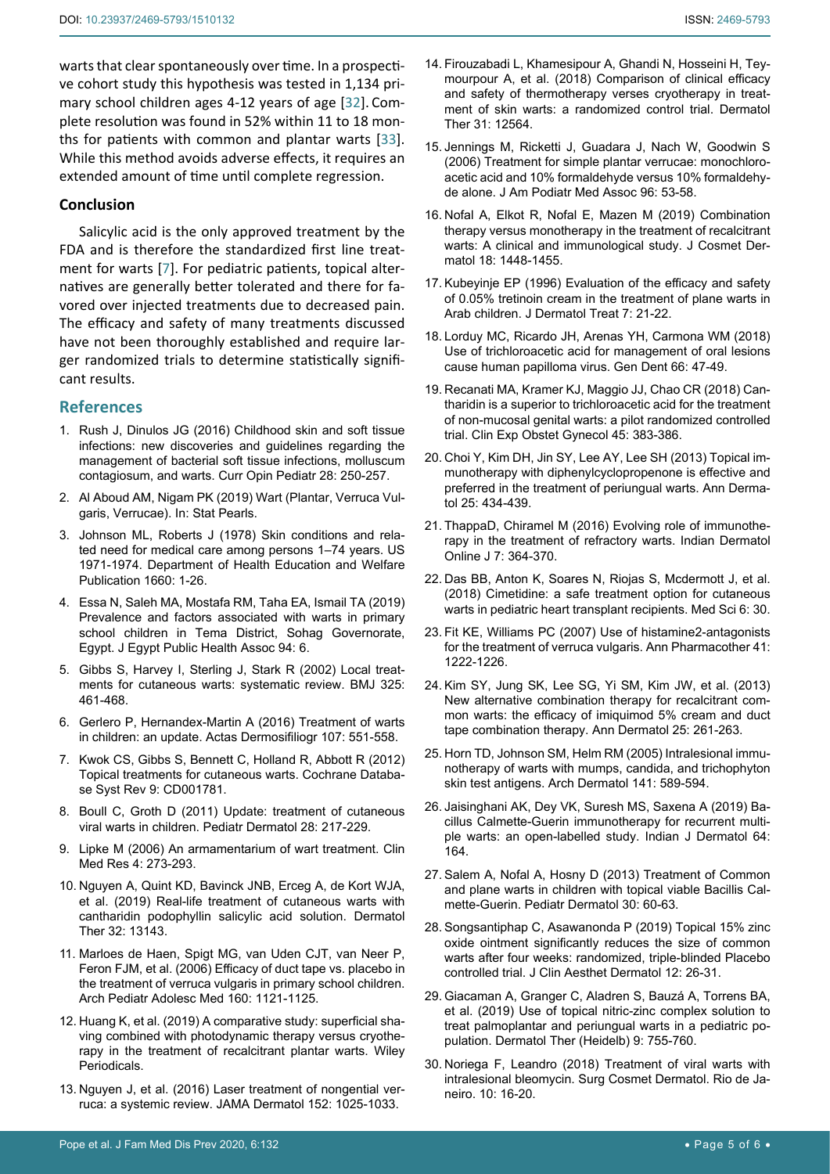warts that clear spontaneously over time. In a prospective cohort study this hypothesis was tested in 1,134 primary school children ages 4-12 years of age [[32\]](#page-5-1). Complete resolution was found in 52% within 11 to 18 months for patients with common and plantar warts [\[33](#page-5-2)]. While this method avoids adverse effects, it requires an extended amount of time until complete regression.

#### **Conclusion**

Salicylic acid is the only approved treatment by the FDA and is therefore the standardized first line treatment for warts [\[7\]](#page-4-2). For pediatric patients, topical alternatives are generally better tolerated and there for favored over injected treatments due to decreased pain. The efficacy and safety of many treatments discussed have not been thoroughly established and require larger randomized trials to determine statistically significant results.

#### **References**

- <span id="page-4-4"></span>1. [Rush J, Dinulos JG \(2016\) Childhood skin and soft tissue](https://pubmed.ncbi.nlm.nih.gov/26900921/)  [infections: new discoveries and guidelines regarding the](https://pubmed.ncbi.nlm.nih.gov/26900921/)  [management of bacterial soft tissue infections, molluscum](https://pubmed.ncbi.nlm.nih.gov/26900921/)  [contagiosum, and warts. Curr Opin Pediatr 28: 250-257.](https://pubmed.ncbi.nlm.nih.gov/26900921/)
- <span id="page-4-5"></span>2. [Al Aboud AM, Nigam PK \(2019\) Wart \(Plantar, Verruca Vul](https://www.ncbi.nlm.nih.gov/books/NBK431047/)[garis, Verrucae\). In: Stat Pearls.](https://www.ncbi.nlm.nih.gov/books/NBK431047/)
- <span id="page-4-6"></span>3. Johnson ML, Roberts J (1978) Skin conditions and related need for medical care among persons 1–74 years. US 1971-1974. Department of Health Education and Welfare Publication 1660: 1-26.
- <span id="page-4-7"></span>4. [Essa N, Saleh MA, Mostafa RM, Taha EA, Ismail TA \(2019\)](https://www.x-mol.com/paper/1213016154108530688)  [Prevalence and factors associated with warts in primary](https://www.x-mol.com/paper/1213016154108530688)  [school children in Tema District, Sohag Governorate,](https://www.x-mol.com/paper/1213016154108530688)  Egypt. [J Egypt Public Health Assoc 94: 6.](https://www.x-mol.com/paper/1213016154108530688)
- <span id="page-4-0"></span>5. [Gibbs S, Harvey I, Sterling J, Stark R \(2002\) Local treat](https://www.ncbi.nlm.nih.gov/pmc/articles/PMC119440/)[ments for cutaneous warts: systematic review. BMJ 325:](https://www.ncbi.nlm.nih.gov/pmc/articles/PMC119440/)  [461-468.](https://www.ncbi.nlm.nih.gov/pmc/articles/PMC119440/)
- <span id="page-4-1"></span>6. [Gerlero P, Hernandex-Martin A \(2016\) Treatment of warts](https://pubmed.ncbi.nlm.nih.gov/27241712/)  [in children: an update. Actas Dermosifiliogr 107: 551-558.](https://pubmed.ncbi.nlm.nih.gov/27241712/)
- <span id="page-4-2"></span>7. [Kwok CS, Gibbs S, Bennett C, Holland R, Abbott R \(2012\)](https://pubmed.ncbi.nlm.nih.gov/22972052/)  [Topical treatments for cutaneous warts. Cochrane Databa](https://pubmed.ncbi.nlm.nih.gov/22972052/)[se Syst Rev 9: CD001781.](https://pubmed.ncbi.nlm.nih.gov/22972052/)
- <span id="page-4-3"></span>8. [Boull C, Groth D \(2011\) Update: treatment of cutaneous](https://pubmed.ncbi.nlm.nih.gov/21517951/)  [viral warts in children. Pediatr Dermatol 28: 217-229.](https://pubmed.ncbi.nlm.nih.gov/21517951/)
- <span id="page-4-8"></span>9. [Lipke M \(2006\) An armamentarium of wart treatment. Clin](https://www.ncbi.nlm.nih.gov/pmc/articles/PMC1764803/)  [Med Res 4: 273-293.](https://www.ncbi.nlm.nih.gov/pmc/articles/PMC1764803/)
- <span id="page-4-9"></span>10. Nguyen A, Quint KD, Bavinck JNB, Erceg A, de Kort WJA, et al. (2019) Real-life treatment of cutaneous warts with cantharidin podophyllin salicylic acid solution. Dermatol Ther 32: 13143.
- <span id="page-4-10"></span>11. [Marloes de Haen, Spigt MG, van Uden CJT, van Neer P,](https://pubmed.ncbi.nlm.nih.gov/17088514/)  [Feron FJM, et al. \(2006\) Efficacy of duct tape vs. placebo in](https://pubmed.ncbi.nlm.nih.gov/17088514/)  [the treatment of verruca vulgaris in primary school children.](https://pubmed.ncbi.nlm.nih.gov/17088514/)  [Arch Pediatr Adolesc Med 160: 1121-1125.](https://pubmed.ncbi.nlm.nih.gov/17088514/)
- <span id="page-4-11"></span>12. Huang K, et al. (2019) A comparative study: superficial shaving combined with photodynamic therapy versus cryotherapy in the treatment of recalcitrant plantar warts. Wiley Periodicals.
- <span id="page-4-12"></span>13. Nguyen J, et al. (2016) Laser treatment of nongential verruca: a systemic review. JAMA Dermatol 152: 1025-1033.
- <span id="page-4-19"></span>14. [Firouzabadi L, Khamesipour A, Ghandi N, Hosseini H, Tey](https://pubmed.ncbi.nlm.nih.gov/29082602/)[mourpour A, et al. \(2018\) Comparison of clinical efficacy](https://pubmed.ncbi.nlm.nih.gov/29082602/)  [and safety of thermotherapy verses cryotherapy in treat](https://pubmed.ncbi.nlm.nih.gov/29082602/)[ment of skin warts: a randomized control trial. Dermatol](https://pubmed.ncbi.nlm.nih.gov/29082602/)  [Ther 31: 12564.](https://pubmed.ncbi.nlm.nih.gov/29082602/)
- <span id="page-4-20"></span>15. [Jennings M, Ricketti J, Guadara J, Nach W, Goodwin S](https://pubmed.ncbi.nlm.nih.gov/16415283/)  [\(2006\) Treatment for simple plantar verrucae: monochloro](https://pubmed.ncbi.nlm.nih.gov/16415283/)[acetic acid and 10% formaldehyde versus 10% formaldehy](https://pubmed.ncbi.nlm.nih.gov/16415283/)[de alone. J Am Podiatr Med Assoc 96: 53-58.](https://pubmed.ncbi.nlm.nih.gov/16415283/)
- <span id="page-4-13"></span>16. [Nofal A, Elkot R, Nofal E, Mazen M \(2019\) Combination](https://pubmed.ncbi.nlm.nih.gov/30597693/)  [therapy versus monotherapy in the treatment of recalcitrant](https://pubmed.ncbi.nlm.nih.gov/30597693/)  [warts: A clinical and immunological study. J Cosmet Der](https://pubmed.ncbi.nlm.nih.gov/30597693/)[matol 18: 1448-1455.](https://pubmed.ncbi.nlm.nih.gov/30597693/)
- <span id="page-4-14"></span>17. [Kubeyinje EP \(1996\) Evaluation of the efficacy and safety](https://www.tandfonline.com/doi/abs/10.3109/09546639609086864?journalCode=ijdt20)  [of 0.05% tretinoin cream in the treatment of plane warts in](https://www.tandfonline.com/doi/abs/10.3109/09546639609086864?journalCode=ijdt20)  [Arab children. J Dermatol Treat 7: 21-22.](https://www.tandfonline.com/doi/abs/10.3109/09546639609086864?journalCode=ijdt20)
- <span id="page-4-15"></span>18. [Lorduy MC, Ricardo JH, Arenas YH, Carmona WM \(2018\)](https://pubmed.ncbi.nlm.nih.gov/29513235/)  [Use of trichloroacetic acid for management of oral lesions](https://pubmed.ncbi.nlm.nih.gov/29513235/)  [cause human papilloma virus. Gen Dent 66: 47-49.](https://pubmed.ncbi.nlm.nih.gov/29513235/)
- <span id="page-4-16"></span>19. [Recanati MA, Kramer KJ, Maggio JJ, Chao CR \(2018\) Can](https://www.ncbi.nlm.nih.gov/pmc/articles/PMC6075835/)[tharidin is a superior to trichloroacetic acid for the treatment](https://www.ncbi.nlm.nih.gov/pmc/articles/PMC6075835/)  [of non-mucosal genital warts: a pilot randomized controlled](https://www.ncbi.nlm.nih.gov/pmc/articles/PMC6075835/)  [trial. Clin Exp Obstet Gynecol 45: 383-386.](https://www.ncbi.nlm.nih.gov/pmc/articles/PMC6075835/)
- <span id="page-4-17"></span>20. [Choi Y, Kim DH, Jin SY, Lee AY, Lee SH \(2013\) Topical im](https://europepmc.org/article/med/24371390)[munotherapy with diphenylcyclopropenone is effective and](https://europepmc.org/article/med/24371390)  [preferred in the treatment of periungual warts.](https://europepmc.org/article/med/24371390) Ann Derma[tol 25: 434-439.](https://europepmc.org/article/med/24371390)
- <span id="page-4-18"></span>21. [ThappaD, Chiramel M \(2016\) Evolving role of immunothe](https://www.ncbi.nlm.nih.gov/pmc/articles/PMC5038096/)[rapy in the treatment of refractory warts. Indian Dermatol](https://www.ncbi.nlm.nih.gov/pmc/articles/PMC5038096/)  [Online J 7: 364-370.](https://www.ncbi.nlm.nih.gov/pmc/articles/PMC5038096/)
- <span id="page-4-25"></span>22. [Das BB, Anton K, Soares N, Riojas S, Mcdermott J, et al.](https://pubmed.ncbi.nlm.nih.gov/29642499/)  [\(2018\) Cimetidine: a safe treatment option for cutaneous](https://pubmed.ncbi.nlm.nih.gov/29642499/)  [warts in pediatric heart transplant recipients. Med Sci 6: 30.](https://pubmed.ncbi.nlm.nih.gov/29642499/)
- <span id="page-4-26"></span>23. [Fit KE, Williams PC \(2007\) Use of histamine2-antagonists](https://pubmed.ncbi.nlm.nih.gov/17535844/)  [for the treatment of verruca vulgaris. Ann Pharmacother 41:](https://pubmed.ncbi.nlm.nih.gov/17535844/)  [1222-1226.](https://pubmed.ncbi.nlm.nih.gov/17535844/)
- <span id="page-4-27"></span>24. [Kim SY, Jung SK, Lee SG, Yi SM, Kim JW, et al. \(2013\)](https://pubmed.ncbi.nlm.nih.gov/23717030/)  [New alternative combination therapy for recalcitrant com](https://pubmed.ncbi.nlm.nih.gov/23717030/)[mon warts: the efficacy of imiquimod 5% cream and duct](https://pubmed.ncbi.nlm.nih.gov/23717030/)  [tape combination therapy. Ann Dermatol 25: 261-263.](https://pubmed.ncbi.nlm.nih.gov/23717030/)
- <span id="page-4-28"></span>25. [Horn TD, Johnson SM, Helm RM \(2005\) Intralesional immu](https://jamanetwork.com/journals/jamadermatology/fullarticle/394870)[notherapy of warts with mumps, candida, and trichophyton](https://jamanetwork.com/journals/jamadermatology/fullarticle/394870)  [skin test antigens. Arch Dermatol 141: 589-594.](https://jamanetwork.com/journals/jamadermatology/fullarticle/394870)
- <span id="page-4-29"></span>26. [Jaisinghani AK, Dey VK, Suresh MS, Saxena A \(2019\) Ba](https://pubmed.ncbi.nlm.nih.gov/30983619/)[cillus Calmette-Guerin immunotherapy for recurrent multi](https://pubmed.ncbi.nlm.nih.gov/30983619/)[ple warts: an open-labelled study. Indian J Dermatol 64:](https://pubmed.ncbi.nlm.nih.gov/30983619/)  [164.](https://pubmed.ncbi.nlm.nih.gov/30983619/)
- <span id="page-4-21"></span>27. [Salem A, Nofal A, Hosny D \(2013\) Treatment of Common](https://pubmed.ncbi.nlm.nih.gov/22958215/)  [and plane warts in children with topical viable Bacillis Cal](https://pubmed.ncbi.nlm.nih.gov/22958215/)[mette-Guerin. Pediatr Dermatol 30: 60-63.](https://pubmed.ncbi.nlm.nih.gov/22958215/)
- <span id="page-4-22"></span>28. [Songsantiphap C, Asawanonda P \(2019\) Topical 15% zinc](https://www.ncbi.nlm.nih.gov/pmc/articles/PMC6777697/)  [oxide ointment significantly reduces the size of common](https://www.ncbi.nlm.nih.gov/pmc/articles/PMC6777697/)  [warts after four weeks: randomized, triple-blinded Placebo](https://www.ncbi.nlm.nih.gov/pmc/articles/PMC6777697/)  [controlled trial. J Clin Aesthet Dermatol 12: 26-31.](https://www.ncbi.nlm.nih.gov/pmc/articles/PMC6777697/)
- <span id="page-4-23"></span>29. [Giacaman A, Granger C, Aladren S, Bauzá A, Torrens BA,](https://www.ncbi.nlm.nih.gov/pmc/articles/PMC6828862/)  [et al. \(2019\) Use of topical nitric-zinc complex solution to](https://www.ncbi.nlm.nih.gov/pmc/articles/PMC6828862/)  [treat palmoplantar and periungual warts in a pediatric po](https://www.ncbi.nlm.nih.gov/pmc/articles/PMC6828862/)[pulation. Dermatol Ther \(Heidelb\) 9: 755-760.](https://www.ncbi.nlm.nih.gov/pmc/articles/PMC6828862/)
- <span id="page-4-24"></span>30. [Noriega F, Leandro \(2018\) Treatment of viral warts with](https://www.uhb.nhs.uk/Downloads/pdf/PiViralWartsIntralesionalBleomycin.pdf)  [intralesional bleomycin. Surg Cosmet Dermatol. Rio de Ja](https://www.uhb.nhs.uk/Downloads/pdf/PiViralWartsIntralesionalBleomycin.pdf)[neiro. 10: 16-20.](https://www.uhb.nhs.uk/Downloads/pdf/PiViralWartsIntralesionalBleomycin.pdf)